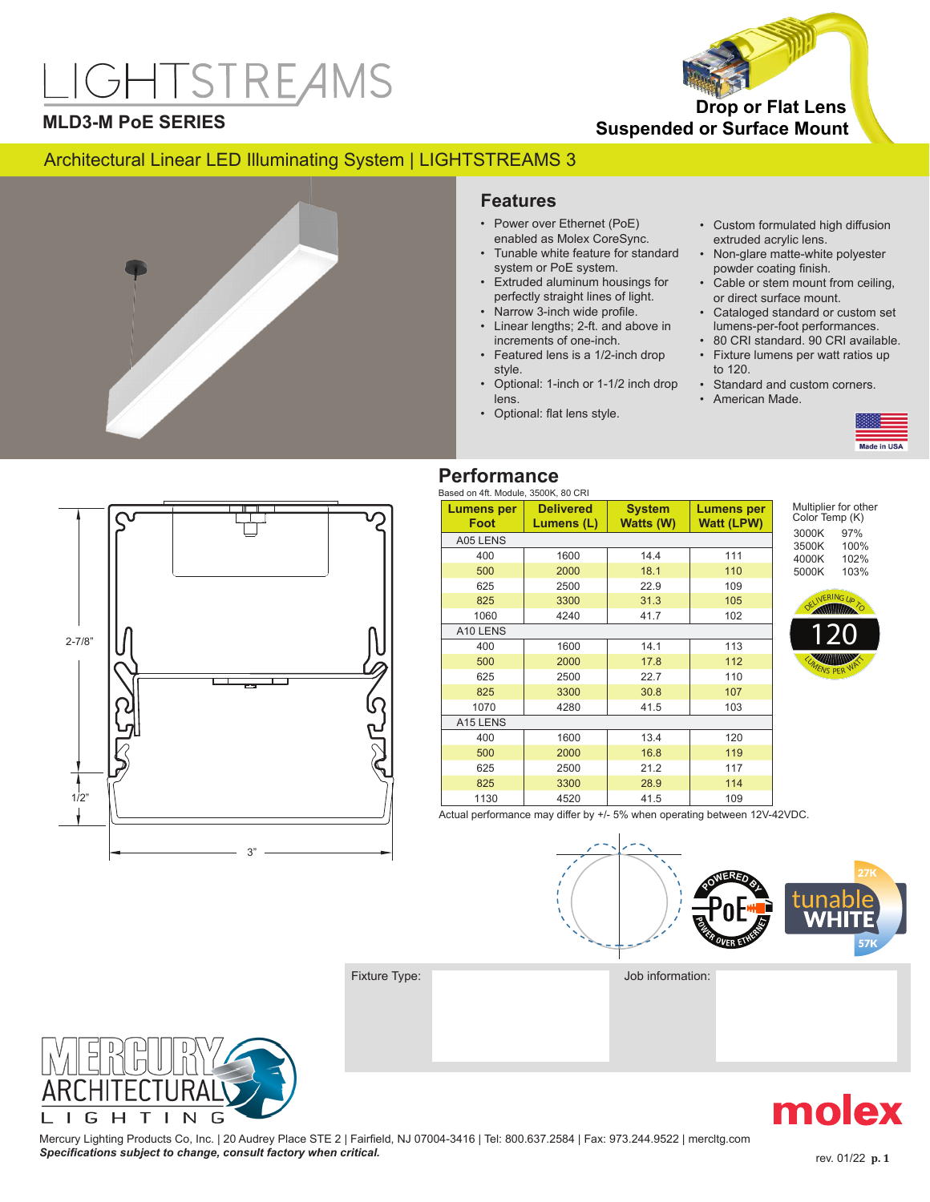# **IGHTSTREAMS**



#### **MLD3-M PoE SERIES**

#### Architectural Linear LED Illuminating System | LIGHTSTREAMS 3



#### **Features**

- Power over Ethernet (PoE) enabled as Molex CoreSync.
- Tunable white feature for standard system or PoE system.
- Extruded aluminum housings for perfectly straight lines of light.
- Narrow 3-inch wide profile.
- Linear lengths; 2-ft. and above in increments of one-inch.
- Featured lens is a 1/2-inch drop style.
- Optional: 1-inch or 1-1/2 inch drop lens.
- Optional: flat lens style.
- Custom formulated high diffusion extruded acrylic lens.
- Non-glare matte-white polyester powder coating finish.
- Cable or stem mount from ceiling, or direct surface mount.
- Cataloged standard or custom set lumens-per-foot performances.
- 80 CRI standard. 90 CRI available. • Fixture lumens per watt ratios up to 120.
- Standard and custom corners.
- American Made.





#### **Performance**

#### Based on 4ft. Module, 3500K, 80 CRI

| Lumens per           | <b>Delivered</b> | <b>System</b> | Lumens per        |
|----------------------|------------------|---------------|-------------------|
| Foot                 | Lumens (L)       | Watts (W)     | <b>Watt (LPW)</b> |
| A05 LENS             |                  |               |                   |
| 400                  | 1600             | 14.4          | 111               |
| 500                  | 2000             | 18.1          | 110               |
| 625                  | 2500             | 22.9          | 109               |
| 825                  | 3300             | 31.3          | 105               |
| 1060                 | 4240             | 41.7          | 102               |
| A10 LENS             |                  |               |                   |
| 400                  | 1600             | 14.1          | 113               |
| 500                  | 2000             | 17.8          | 112               |
| 625                  | 2500             | 22.7          | 110               |
| 825                  | 3300             | 30.8          | 107               |
| 1070                 | 4280             | 41.5          | 103               |
| A <sub>15</sub> LENS |                  |               |                   |
| 400                  | 1600             | 13.4          | 120               |
| 500                  | 2000             | 16.8          | 119               |
| 625                  | 2500             | 21.2          | 117               |
| 825                  | 3300             | 28.9          | 114               |
| 1130                 | 4520             | 41.5          | 109               |

Multiplier for other Color Temp (K) 3000K 3500K 4000K 5000K 97% 100% 102% 103%



Actual performance may differ by +/- 5% when operating between 12V-42VDC.



Fixture Type:  $Job$  Information:



Mercury Lighting Products Co, Inc. | 20 Audrey Place STE 2 | Fairfield, NJ 07004-3416 | Tel: 800.637.2584 | Fax: 973.244.9522 | mercltg.com **Specifications subject to change, consult factory when critical. Specifications in the subjective of the critical** rev. 0/22 **p. 1** rev. 0/22 **p. 1** 

molex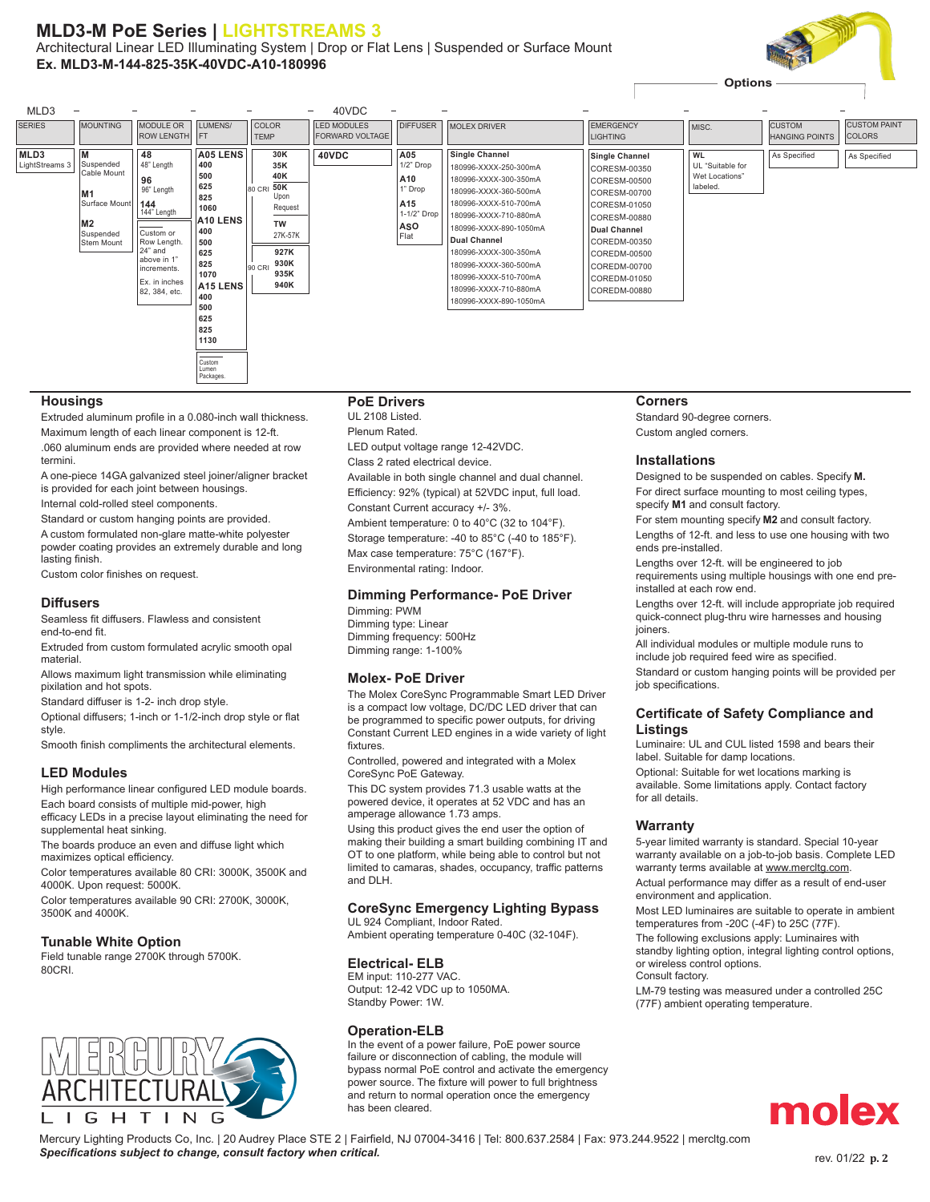#### **MLD3-M PoE Series | LIGHTSTREAMS 3**

Architectural Linear LED Illuminating System | Drop or Flat Lens | Suspended or Surface Mount **Ex. MLD3-M-144-825-35K-40VDC-A10-180996**





#### **Housings**

Extruded aluminum profile in a 0.080-inch wall thickness.

Maximum length of each linear component is 12-ft. .060 aluminum ends are provided where needed at row termini.

A one-piece 14GA galvanized steel joiner/aligner bracket is provided for each joint between housings.

Internal cold-rolled steel components.

Standard or custom hanging points are provided.

A custom formulated non-glare matte-white polyester powder coating provides an extremely durable and long lasting finish.

Custom color finishes on request.

#### **Diffusers**

Seamless fit diffusers. Flawless and consistent end-to-end fit.

Extruded from custom formulated acrylic smooth opal material.

Allows maximum light transmission while eliminating pixilation and hot spots.

Standard diffuser is 1-2- inch drop style.

Optional diffusers; 1-inch or 1-1/2-inch drop style or flat

style. Smooth finish compliments the architectural elements.

#### **LED Modules**

High performance linear configured LED module boards.

Each board consists of multiple mid-power, high efficacy LEDs in a precise layout eliminating the need for supplemental heat sinking.

The boards produce an even and diffuse light which maximizes optical efficiency.

Color temperatures available 80 CRI: 3000K, 3500K and 4000K. Upon request: 5000K.

Color temperatures available 90 CRI: 2700K, 3000K, 3500K and 4000K.

#### **Tunable White Option**

Field tunable range 2700K through 5700K. 80CRI.



#### **PoE Drivers**

UL 2108 Listed. Plenum Rated.

LED output voltage range 12-42VDC.

Class 2 rated electrical device.

Available in both single channel and dual channel. Efficiency: 92% (typical) at 52VDC input, full load. Constant Current accuracy +/- 3%.

Ambient temperature: 0 to 40°C (32 to 104°F). Storage temperature: -40 to 85°C (-40 to 185°F). Max case temperature: 75°C (167°F).

Environmental rating: Indoor.

#### **Dimming Performance- PoE Driver** Dimming: PWM

Dimming type: Linear Dimming frequency: 500Hz Dimming range: 1-100%

#### **Molex- PoE Driver**

The Molex CoreSync Programmable Smart LED Driver is a compact low voltage, DC/DC LED driver that can be programmed to specific power outputs, for driving Constant Current LED engines in a wide variety of light fixtures.

Controlled, powered and integrated with a Molex CoreSync PoE Gateway.

This DC system provides 71.3 usable watts at the powered device, it operates at 52 VDC and has an amperage allowance 1.73 amps.

Using this product gives the end user the option of making their building a smart building combining IT and OT to one platform, while being able to control but not limited to camaras, shades, occupancy, traffic patterns and DLH.

#### **CoreSync Emergency Lighting Bypass**

UL 924 Compliant, Indoor Rated. Ambient operating temperature 0-40C (32-104F).

#### **Electrical- ELB**

EM input: 110-277 VAC. Output: 12-42 VDC up to 1050MA. Standby Power: 1W.

#### **Operation-ELB**

In the event of a power failure, PoE power source failure or disconnection of cabling, the module will bypass normal PoE control and activate the emergency power source. The fixture will power to full brightness and return to normal operation once the emergency has been cleared.

#### **Corners**

Standard 90-degree corners. Custom angled corners.

#### **Installations**

Designed to be suspended on cables. Specify **M.** For direct surface mounting to most ceiling types,

specify **M1** and consult factory. For stem mounting specify **M2** and consult factory.

Lengths of 12-ft. and less to use one housing with two ends pre-installed.

Lengths over 12-ft. will be engineered to job requirements using multiple housings with one end preinstalled at each row end.

Lengths over 12-ft. will include appropriate job required quick-connect plug-thru wire harnesses and housing ioiners.

All individual modules or multiple module runs to include job required feed wire as specified.

Standard or custom hanging points will be provided per iob specifications.

#### **Certificate of Safety Compliance and Listings**

Luminaire: UL and CUL listed 1598 and bears their label. Suitable for damp locations.

Optional: Suitable for wet locations marking is available. Some limitations apply. Contact factory for all details.

#### **Warranty**

5-year limited warranty is standard. Special 10-year warranty available on a job-to-job basis. Complete LED warranty terms available at www.mercltg.com.

Actual performance may differ as a result of end-user environment and application.

Most LED luminaires are suitable to operate in ambient temperatures from -20C (-4F) to 25C (77F).

The following exclusions apply: Luminaires with standby lighting option, integral lighting control options, or wireless control options.

Consult factory.

LM-79 testing was measured under a controlled 25C (77F) ambient operating temperature.



Mercury Lighting Products Co, Inc. | 20 Audrey Place STE 2 | Fairfield, NJ 07004-3416 | Tel: 800.637.2584 | Fax: 973.244.9522 | mercltg.com **Specifications subject to change, consult factory when critical. Specifications in the subject of change, consult factory when critical. Rev. 02/22 <b>p. 2**